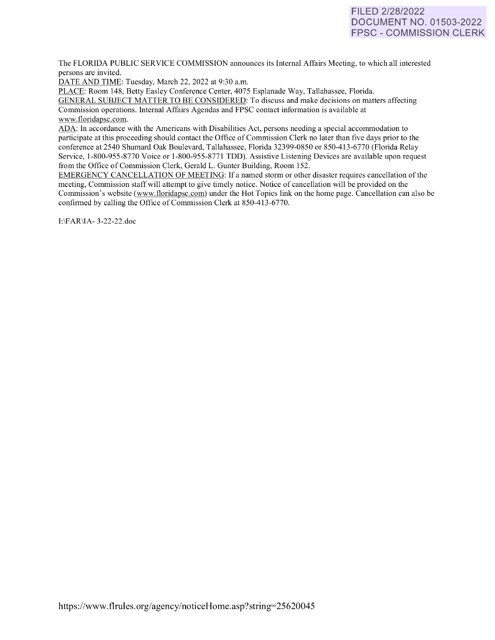# FILED 2/28/2022 DOCUMENT NO. 01503-2022 FPSC - COMMISSION CLERK

The FLORIDA PUBLIC SERVICE COMMISSION announces its Internal Affairs Meeting, to which all interested persons are invited.

DATE AND TIME: Tuesday, March 22, 2022 at 9:30 a.m.

PLACE: Room 148, Betty Easley Conference Center, 4075 Esplanade Way, Tallahassee, Florida.

GENERAL SUBJECT MATTER TO BE CONSIDERED: To discuss and make decisions on matters affecting Commission operations. Internal Affairs Agendas and FPSC contact information is available at [www.floridapsc.com.](http://www.floridapsc.com/)

ADA: In accordance with the Americans with Disabilities Act, persons needing a special accommodation to participate at this proceeding should contact the Office of Commission Clerk no later than five days prior to the conference at 2540 Shumard Oak Boulevard, Tallahassee, Florida 32399-0850 or 850-41 3-6770 (Florida Relay Service, 1-800-955-8770 Voice or 1-800-955-8771 TDD). Assistive Listening Devices are available upon request from the Office of Commission Clerk, Gerald L. Gunter Building, Room 152.

EMERGENCY CANCELLATION OF MEETING: If a named storm or other disaster requires cancellation of the meeting, Commission staff will attempt to give timely notice. Notice of cancellation will be provided on the Commission's website [\(www.f](http://www/)loridapsc.com) under the Hot Topics link on the home page. Cancellation can also be confirmed by calling the Office of Commission Clerk at 850-413-6770.

1:\FAR\lA- 3-22-22.doc